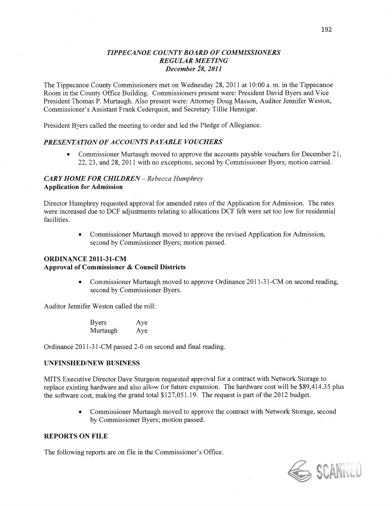## *<sup>T</sup>IPPECANOE COUZVTY BOARD* OF *COMMISSIONERS*   $REGULAR MEETING$ *December* 28, *2011*

The Tippecanoe County Commissioners met on Wednesday 28, 2011 at **10:00** a. m. in the Tippecanoe Room in the County Office Building. Commissioners present were: President **Daizid** Byers and Vice President Thomas P. Murtaugh. Also present were: Attorney Doug Masson, Auditor Jennifer Weston, Commissioner's Assistant Frank Cederquist, and Secretary Tillie Hennigar.

President Byers called the meeting to order and led the Pledge of Allegiance.

#### **PRESENTATION OF ACCOUNTS PAYABLE VOUCHERS**

• Commissioner Murtaugh moved to approve the accounts payable vouchers for December 21, 22, 23, and 28, 2011 with no exceptions, second by Commissioner Byers; motion carried.

## *CARY HOME* FOR *CHILDREN* **—** *Rebecca Humphrey*  **Application** for Admission *'*

Director Humphrey requested approval for amended rates of the Application for Admission. The rates were increased due to DCF adjustments relating to allocations DCF felt were set too low for residential facilities.

> **0** Commissioner Murtaugh moved to approve the revised Application for Admission, second by Commissioner Byers; motion passed.

#### **ORDINANCE 2011-31-CM**

### **Approval** of Commissioner **&** Council Districts

Commissioner Murtaugh moved to approve Ordinance 2011-31-CM on second reading, second by Commissioner Byers.

Auditor Jennifer Weston called the roll:

Byers Aye Murtaugh Aye

Ordinance 2011-31-CM passed 2-0 on second and final reading.

#### **UNFINSHED/NEW BUSINESS**

MITS Executive Director Dave Sturgeon requested approval for a contract with Network Storage to replace existing hardware and also allow for future expansion. The hardware cost will be \$89,414.35 plus the software cost, fnaking the grand total \$127,051.19. The request is part of the 2012 budget.

> **0** Commissioner Murtaugh moved to approve the contract With Network Storage, second by Commissioner Byers; motion passed. *.*

#### **REPORTS** ON **FILE**

The following reports are on file in the Commissioner's Office.